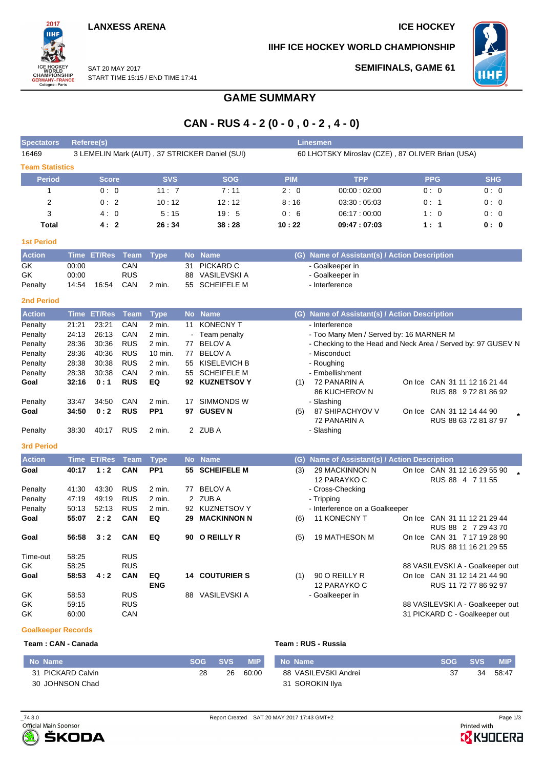2017 πи

**SEMIFINALS, GAME 61**

**IIHF ICE HOCKEY WORLD CHAMPIONSHIP**



SAT 20 MAY 2017 WORLD<br>CHAMPIONSHIP<br>GERMANY-FRANCE<br>Cologne-Paris START TIME 15:15 / END TIME 17:41

## **GAME SUMMARY**

# **CAN - RUS 4 - 2 (0 - 0 , 0 - 2 , 4 - 0)**

| <b>Spectators</b>      |             | Referee(s)    |             |                 |           |                                                |                                                  | <b>Linesmen</b>                                              |  |            |                                                      |  |  |  |  |
|------------------------|-------------|---------------|-------------|-----------------|-----------|------------------------------------------------|--------------------------------------------------|--------------------------------------------------------------|--|------------|------------------------------------------------------|--|--|--|--|
| 16469                  |             |               |             |                 |           | 3 LEMELIN Mark (AUT), 37 STRICKER Daniel (SUI) | 60 LHOTSKY Miroslav (CZE), 87 OLIVER Brian (USA) |                                                              |  |            |                                                      |  |  |  |  |
| <b>Team Statistics</b> |             |               |             |                 |           |                                                |                                                  |                                                              |  |            |                                                      |  |  |  |  |
| <b>Period</b>          |             | <b>Score</b>  |             | <b>SVS</b>      |           | <b>SOG</b>                                     | <b>PIM</b>                                       | <b>TPP</b>                                                   |  | <b>PPG</b> | <b>SHG</b>                                           |  |  |  |  |
| 1                      |             | 0:0           |             | 11:7            |           | 7:11                                           | 2:0                                              | 00:00:02:00                                                  |  | 0:0        | 0:0                                                  |  |  |  |  |
| 2                      |             | 0:2           |             | 10:12           |           | 12:12                                          | 8:16                                             | 03:30:05:03                                                  |  | 0: 1       | 0:0                                                  |  |  |  |  |
| 3                      |             | 4:0           |             | 5:15            |           | 19:5                                           | 0:6                                              | 06:17:00:00                                                  |  | 1:0        | 0:0                                                  |  |  |  |  |
| <b>Total</b>           |             | 4:2           |             | 26:34           |           | 38:28                                          | 10:22                                            | 09:47:07:03                                                  |  | 1:1        | 0: 0                                                 |  |  |  |  |
|                        |             |               |             |                 |           |                                                |                                                  |                                                              |  |            |                                                      |  |  |  |  |
| <b>1st Period</b>      |             |               |             |                 |           |                                                |                                                  |                                                              |  |            |                                                      |  |  |  |  |
| <b>Action</b>          | <b>Time</b> | <b>ET/Res</b> | Team        | <b>Type</b>     | <b>No</b> | <b>Name</b>                                    |                                                  | (G) Name of Assistant(s) / Action Description                |  |            |                                                      |  |  |  |  |
| GK                     | 00:00       |               | CAN         |                 | 31        | PICKARD C                                      |                                                  | - Goalkeeper in                                              |  |            |                                                      |  |  |  |  |
| GK                     | 00:00       |               | <b>RUS</b>  |                 | 88        | VASILEVSKI A                                   |                                                  | - Goalkeeper in                                              |  |            |                                                      |  |  |  |  |
| Penalty                | 14:54       | 16:54         | CAN         | 2 min.          |           | 55 SCHEIFELE M                                 |                                                  | - Interference                                               |  |            |                                                      |  |  |  |  |
| <b>2nd Period</b>      |             |               |             |                 |           |                                                |                                                  |                                                              |  |            |                                                      |  |  |  |  |
| <b>Action</b>          | <b>Time</b> | <b>ET/Res</b> | <b>Team</b> | <b>Type</b>     | <b>No</b> | <b>Name</b>                                    |                                                  | (G) Name of Assistant(s) / Action Description                |  |            |                                                      |  |  |  |  |
| Penalty                | 21:21       | 23:21         | CAN         | 2 min.          |           | 11 KONECNY T                                   |                                                  | - Interference                                               |  |            |                                                      |  |  |  |  |
| Penalty                | 24:13       | 26:13         | CAN         | 2 min.          |           | Team penalty                                   |                                                  | - Too Many Men / Served by: 16 MARNER M                      |  |            |                                                      |  |  |  |  |
| Penalty                | 28:36       | 30:36         | <b>RUS</b>  | 2 min.          | 77        | <b>BELOV A</b>                                 |                                                  | - Checking to the Head and Neck Area / Served by: 97 GUSEV N |  |            |                                                      |  |  |  |  |
| Penalty                | 28:36       | 40:36         | <b>RUS</b>  | 10 min.         | 77        | <b>BELOV A</b>                                 |                                                  | - Misconduct                                                 |  |            |                                                      |  |  |  |  |
| Penalty                | 28:38       | 30:38         | <b>RUS</b>  | 2 min.          | 55        | <b>KISELEVICH B</b>                            |                                                  | - Roughing                                                   |  |            |                                                      |  |  |  |  |
| Penalty                | 28:38       | 30:38         | CAN         | 2 min.          | 55        | <b>SCHEIFELE M</b>                             |                                                  | - Embellishment                                              |  |            |                                                      |  |  |  |  |
| Goal                   | 32:16       | 0:1           | <b>RUS</b>  | EQ              |           | 92 KUZNETSOV Y                                 | (1)                                              | 72 PANARIN A<br>86 KUCHEROV N                                |  |            | On Ice CAN 31 11 12 16 21 44<br>RUS 88 9 72 81 86 92 |  |  |  |  |
| Penalty                | 33:47       | 34:50         | CAN         | 2 min.          | 17        | SIMMONDS W                                     |                                                  | - Slashing                                                   |  |            |                                                      |  |  |  |  |
| Goal                   | 34:50       | 0:2           | <b>RUS</b>  | PP <sub>1</sub> |           | 97 GUSEV N                                     | (5)                                              | 87 SHIPACHYOV V                                              |  |            | On Ice CAN 31 12 14 44 90                            |  |  |  |  |
|                        |             |               |             |                 |           |                                                |                                                  | 72 PANARIN A                                                 |  |            | RUS 88 63 72 81 87 97                                |  |  |  |  |
| Penalty                | 38:30       | 40:17         | <b>RUS</b>  | 2 min.          |           | 2 ZUB A                                        |                                                  | - Slashing                                                   |  |            |                                                      |  |  |  |  |
| <b>3rd Period</b>      |             |               |             |                 |           |                                                |                                                  |                                                              |  |            |                                                      |  |  |  |  |
| <b>Action</b>          | Time        | <b>ET/Res</b> | <b>Team</b> | <b>Type</b>     | <b>No</b> | <b>Name</b>                                    | (G)                                              | Name of Assistant(s) / Action Description                    |  |            |                                                      |  |  |  |  |
| Goal                   | 40:17       | 1:2           | CAN         | PP <sub>1</sub> | 55        | <b>SCHEIFELE M</b>                             | (3)                                              | 29 MACKINNON N                                               |  |            | On Ice CAN 31 12 16 29 55 90                         |  |  |  |  |
|                        |             |               |             |                 |           |                                                |                                                  | 12 PARAYKO C                                                 |  |            | RUS 88 4 7 11 55                                     |  |  |  |  |
| Penalty                | 41:30       | 43:30         | <b>RUS</b>  | 2 min.          |           | 77 BELOV A                                     |                                                  | - Cross-Checking                                             |  |            |                                                      |  |  |  |  |
| Penalty                | 47:19       | 49:19         | <b>RUS</b>  | $2$ min.        |           | 2 ZUB A                                        |                                                  | - Tripping                                                   |  |            |                                                      |  |  |  |  |
| Penalty                | 50:13       | 52:13         | <b>RUS</b>  | 2 min.          |           | 92 KUZNETSOV Y                                 |                                                  | - Interference on a Goalkeeper                               |  |            |                                                      |  |  |  |  |
| Goal                   | 55:07       | 2:2           | <b>CAN</b>  | EQ              | 29        | <b>MACKINNON N</b>                             | (6)                                              | <b>11 KONECNY T</b>                                          |  |            | On Ice CAN 31 11 12 21 29 44                         |  |  |  |  |
|                        |             |               |             |                 |           |                                                |                                                  |                                                              |  |            | RUS 88 2 7 29 43 70                                  |  |  |  |  |
| Goal                   | 56:58       | 3:2           | <b>CAN</b>  | EQ              |           | 90 O REILLY R                                  | (5)                                              | <b>19 MATHESON M</b>                                         |  |            | On Ice CAN 31 7 17 19 28 90                          |  |  |  |  |
| Time-out               | 58:25       |               | <b>RUS</b>  |                 |           |                                                |                                                  |                                                              |  |            | RUS 88 11 16 21 29 55                                |  |  |  |  |
| GK                     | 58:25       |               | <b>RUS</b>  |                 |           |                                                |                                                  |                                                              |  |            | 88 VASILEVSKI A - Goalkeeper out                     |  |  |  |  |
| Goal                   | 58:53       | 4:2           | <b>CAN</b>  | EQ              |           | <b>14 COUTURIER S</b>                          | (1)                                              | 90 O REILLY R                                                |  |            | On Ice CAN 31 12 14 21 44 90                         |  |  |  |  |
|                        |             |               |             | <b>ENG</b>      |           |                                                |                                                  | 12 PARAYKO C                                                 |  |            | RUS 11 72 77 86 92 97                                |  |  |  |  |
| GK                     | 58:53       |               | <b>RUS</b>  |                 |           | 88 VASILEVSKI A                                |                                                  | - Goalkeeper in                                              |  |            |                                                      |  |  |  |  |
| GK                     | 59:15       |               | <b>RUS</b>  |                 |           |                                                |                                                  |                                                              |  |            | 88 VASILEVSKI A - Goalkeeper out                     |  |  |  |  |
| GK                     | 60:00       |               | CAN         |                 |           |                                                |                                                  |                                                              |  |            | 31 PICKARD C - Goalkeeper out                        |  |  |  |  |

### **Goalkeeper Records**

**Team : CAN - Canada Team : RUS - Russia**

| Mo Name           | SOG - | <b>SVS</b> | <b>MIP</b> | No Name              | SOG. | <b>SVS</b> | <b>MIP</b> |
|-------------------|-------|------------|------------|----------------------|------|------------|------------|
| 31 PICKARD Calvin | 28    | 26         | 60:00      | 88 VASILEVSKI Andrei |      | 34         | 58:47      |
| 30 JOHNSON Chad   |       |            |            | 31 SOROKIN Ilva      |      |            |            |



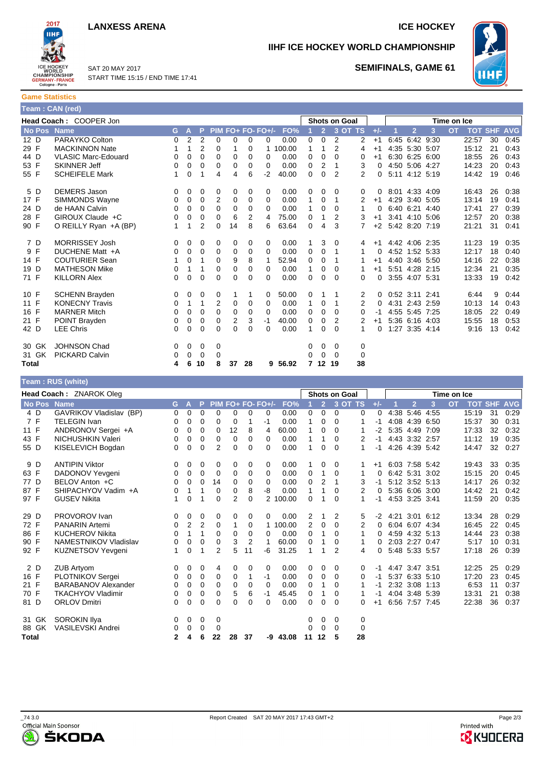### **LANXESS ARENA ICE HOCKEY**



SAT 20 MAY 2017 START TIME 15:15 / END TIME 17:41



**SEMIFINALS, GAME 61**

**IIHF ICE HOCKEY WORLD CHAMPIONSHIP**

**Game Statistics Team : CAN (red)**

| $\mu$ calii . CAN $\mu$ cuj |                            |          |             |                |          |    |    |                   |          |          |                      |                |                |          |                          |                |           |           |            |            |            |
|-----------------------------|----------------------------|----------|-------------|----------------|----------|----|----|-------------------|----------|----------|----------------------|----------------|----------------|----------|--------------------------|----------------|-----------|-----------|------------|------------|------------|
| Head Coach: COOPER Jon      |                            |          |             |                |          |    |    |                   |          |          | <b>Shots on Goal</b> |                |                |          | Time on Ice              |                |           |           |            |            |            |
| No Pos Name                 |                            | G.       | A           | P              |          |    |    | PIM FO+ FO- FO+/- | FO%      |          | $\overline{2}$       |                | 3 OT TS        | $+/-$    |                          | $\mathbf{2}$   | 3         | <b>OT</b> | <b>TOT</b> | <b>SHF</b> | <b>AVG</b> |
| 12 D                        | PARAYKO Colton             | 0        | 2           | $\overline{2}$ | 0        | 0  | 0  | 0                 | 0.00     | 0        | 0                    | 2              | 2              | $+1$     | 6:45                     |                | 6:42 9:30 |           | 22:57      | 30         | 0:45       |
| 29 F                        | <b>MACKINNON Nate</b>      |          | 1           | $\overline{2}$ | 0        | 1  | 0  |                   | 1 100.00 | 1        |                      | 2              | 4              | $+1$     |                          | 4:35 5:30 5:07 |           |           | 15:12      | 21         | 0:43       |
| 44 D                        | <b>VLASIC Marc-Edouard</b> | 0        | $\mathbf 0$ | $\mathbf 0$    | 0        | 0  | 0  | $\mathbf 0$       | 0.00     | 0        | $\mathbf 0$          | $\Omega$       | 0              | $+1$     |                          | 6:30 6:25 6:00 |           |           | 18:55      | 26         | 0:43       |
| 53 F                        | <b>SKINNER Jeff</b>        | 0        | 0           | $\Omega$       | 0        | 0  | 0  | 0                 | 0.00     | 0        | 2                    | 1              | 3              | 0        |                          | 4:50 5:06 4:27 |           |           | 14:23      | 20         | 0:43       |
| 55 F                        | <b>SCHEIFELE Mark</b>      | 1        | $\Omega$    | 1              | 4        | 4  | 6  | $-2$              | 40.00    | 0        | $\Omega$             | $\overline{2}$ | $\overline{2}$ | 0        |                          | 5:11 4:12 5:19 |           |           | 14:42      | 19         | 0:46       |
| 5 D                         | <b>DEMERS Jason</b>        | 0        | 0           | 0              | 0        | 0  | 0  | 0                 | 0.00     | 0        | 0                    | 0              | 0              | 0        |                          | 8:01 4:33 4:09 |           |           | 16:43      | 26         | 0:38       |
| 17 F                        | <b>SIMMONDS Wayne</b>      | 0        | 0           | 0              | 2        | 0  | 0  | 0                 | 0.00     |          | 0                    | 1              | 2              | $+1$     |                          | 4:29 3:40 5:05 |           |           | 13:14      | 19         | 0:41       |
| 24 D                        | de HAAN Calvin             | 0        | 0           | $\mathbf 0$    | 0        | 0  | 0  | 0                 | 0.00     | 1        | 0                    | 0              | 1              | 0        |                          | 6:40 6:21 4:40 |           |           | 17:41      | 27         | 0:39       |
| 28 F                        | GIROUX Claude +C           | 0        | 0           | $\mathbf 0$    | 0        | 6  | 2  | 4                 | 75.00    | 0        | 1                    | 2              | 3              | $+1$     |                          | 3:41 4:10 5:06 |           |           | 12:57      | 20         | 0:38       |
| 90 F                        | O REILLY Ryan $+A$ (BP)    | 1        | 1           | $\overline{2}$ | 0        | 14 | 8  | 6                 | 63.64    | 0        | 4                    | 3              | 7              | $+2$     |                          | 5:42 8:20 7:19 |           |           | 21:21      | 31         | 0:41       |
| 7 D                         | <b>MORRISSEY Josh</b>      | 0        | 0           | 0              | 0        | 0  | 0  | 0                 | 0.00     |          | 3                    | 0              | 4              | $+1$     |                          | 4:42 4:06 2:35 |           |           | 11:23      | 19         | 0:35       |
| 9 F                         | DUCHENE Matt +A            | 0        | 0           | 0              | 0        | 0  | 0  | 0                 | 0.00     | 0        | 0                    | 1              | 1              | 0        |                          | 4:52 1:52 5:33 |           |           | 12:17      | 18         | 0:40       |
| 14 F                        | <b>COUTURIER Sean</b>      | 1        | 0           | 1              | 0        | 9  | 8  | 1                 | 52.94    | $\Omega$ | $\Omega$             | 1              | 1              | $+1$     |                          | 4:40 3:46 5:50 |           |           | 14:16      | 22         | 0:38       |
| 19 D                        | <b>MATHESON Mike</b>       | 0        | 1           | 1              | 0        | 0  | 0  | 0                 | 0.00     | 1        | 0                    | $\Omega$       | 1              | $+1$     |                          | 5:51 4:28 2:15 |           |           | 12:34      | 21         | 0:35       |
| 71 F                        | <b>KILLORN Alex</b>        | 0        | 0           | $\Omega$       | 0        | 0  | 0  | 0                 | 0.00     | $\Omega$ | 0                    | $\Omega$       | 0              | 0        |                          | 3:55 4:07 5:31 |           |           | 13:33      | 19         | 0:42       |
| 10 F                        | <b>SCHENN Brayden</b>      | 0        | 0           | 0              | 0        | 1  | 1  | 0                 | 50.00    | 0        |                      |                | 2              |          | $0$ $0:52$ $3:11$ $2:41$ |                |           |           | 6:44       | 9          | 0:44       |
| 11 F                        | <b>KONECNY Travis</b>      | 0        | 1           | 1              | 2        | 0  | 0  | $\mathbf 0$       | 0.00     |          | 0                    | 1              | $\overline{2}$ | 0        |                          | 4:31 2:43 2:59 |           |           | 10:13      | 14         | 0:43       |
| 16 F                        | <b>MARNER Mitch</b>        | $\Omega$ | 0           | 0              | $\Omega$ | 0  | 0  | $\Omega$          | 0.00     | 0        | $\mathbf 0$          | $\Omega$       | 0              | -1       |                          | 4:55 5:45 7:25 |           |           | 18:05      | 22         | 0:49       |
| 21 F                        | <b>POINT Brayden</b>       | 0        | 0           | 0              | 0        | 2  | 3  | $-1$              | 40.00    | 0        | 0                    | $\overline{2}$ | 2              | $+1$     |                          | 5:36 6:16 4:03 |           |           | 15:55      | 18         | 0:53       |
| 42 D                        | <b>LEE Chris</b>           | 0        | 0           | $\mathbf 0$    | 0        | 0  | 0  | 0                 | 0.00     | 1        | $\mathbf 0$          | $\Omega$       | 1              | $\Omega$ |                          | 1:27 3:35 4:14 |           |           | 9:16       | 13         | 0:42       |
| 30 GK                       | <b>JOHNSON Chad</b>        | 0        | 0           | 0              | 0        |    |    |                   |          | 0        | 0                    | 0              | 0              |          |                          |                |           |           |            |            |            |
| 31 GK                       | <b>PICKARD Calvin</b>      | 0        | 0           | 0              | 0        |    |    |                   |          | 0        | 0                    | 0              | 0              |          |                          |                |           |           |            |            |            |
| Total                       |                            | 4        | 6           | 10             | 8        | 37 | 28 |                   | 9 56.92  |          | 7 12 19              |                | 38             |          |                          |                |           |           |            |            |            |

### **Team : RUS (white)**

| Head Coach: ZNAROK Oleg |                            |              |   |                |                |          |          |                   |          | <b>Shots on Goal</b> |                |          |          |       | Time on Ice |                     |   |           |                |    |            |
|-------------------------|----------------------------|--------------|---|----------------|----------------|----------|----------|-------------------|----------|----------------------|----------------|----------|----------|-------|-------------|---------------------|---|-----------|----------------|----|------------|
| No Pos Name             |                            | G.           | A | P.             |                |          |          | PIM FO+ FO- FO+/- | FO%      |                      | $\overline{2}$ |          | 3 OT TS  | $+/-$ |             | $\overline{2}$      | 3 | <b>OT</b> | <b>TOT SHF</b> |    | <b>AVG</b> |
| 4 D                     | GAVRIKOV Vladislav (BP)    | 0            | 0 | 0              | $\mathbf 0$    | 0        | $\Omega$ | 0                 | 0.00     | 0                    | 0              | $\Omega$ | 0        | 0     | 4:38        | 5:46 4:55           |   |           | 15:19          | 31 | 0:29       |
| 7 F                     | <b>TELEGIN Ivan</b>        | 0            | 0 | $\Omega$       | 0              | 0        | 1        | $-1$              | 0.00     | 1                    | 0              | 0        |          | -1    |             | 4:08 4:39 6:50      |   |           | 15:37          | 30 | 0:31       |
| 11 F                    | ANDRONOV Sergei +A         | 0            | 0 | 0              | 0              | 12       | 8        | 4                 | 60.00    | 1                    | 0              | 0        |          | $-2$  |             | 5:35 4:49 7:09      |   |           | 17:33          | 32 | 0:32       |
| 43 F                    | NICHUSHKIN Valeri          | 0            | 0 | 0              | 0              | 0        | 0        | 0                 | 0.00     | 1                    |                | 0        | 2        | -1    |             | 4:43 3:32 2:57      |   |           | 11:12          | 19 | 0:35       |
| 55 D                    | KISELEVICH Bogdan          | $\Omega$     | 0 | 0              | 2              | $\Omega$ | $\Omega$ | 0                 | 0.00     | 1                    | $\Omega$       | $\Omega$ | 1        | $-1$  |             | 4:26 4:39 5:42      |   |           | 14:47          | 32 | 0:27       |
| 9 D                     | <b>ANTIPIN Viktor</b>      | 0            | 0 | 0              | 0              | 0        | 0        | 0                 | 0.00     |                      | 0              | 0        |          | $+1$  |             | 6:03 7:58 5:42      |   |           | 19:43          | 33 | 0:35       |
| 63 F                    | DADONOV Yevgeni            | 0            | 0 | 0              | 0              | 0        | 0        | 0                 | 0.00     | 0                    | 1              | 0        |          | 0     |             | 6:42 5:31 3:02      |   |           | 15:15          | 20 | 0:45       |
| 77 D                    | BELOV Anton +C             | $\Omega$     | 0 | 0              | 14             | 0        | 0        | $\Omega$          | 0.00     | 0                    | 2              | 1        | 3        | $-1$  |             | 5:12 3:52 5:13      |   |           | 14:17          | 26 | 0:32       |
| 87 F                    | SHIPACHYOV Vadim +A        | 0            | 1 | 1              | 0              | 0        | 8        | -8                | 0.00     | 1                    | 1              | 0        | 2        | 0     |             | 5:36 6:06 3:00      |   |           | 14:42          | 21 | 0:42       |
| 97 F                    | <b>GUSEV Nikita</b>        | 1            | 0 | 1              | $\Omega$       | 2        | $\Omega$ |                   | 2 100.00 | $\Omega$             | 1              | 0        | 1        | $-1$  |             | 4:53 3:25 3:41      |   |           | 11:59          | 20 | 0:35       |
| 29 D                    | PROVOROV Ivan              | 0            | 0 | 0              | 0              | 0        | 0        | 0                 | 0.00     | 2                    | 1              | 2        | 5        |       |             | $-2$ 4:21 3:01 6:12 |   |           | 13:34          | 28 | 0:29       |
| 72 F                    | <b>PANARIN Artemi</b>      | 0            | 2 | $\overline{2}$ | 0              | 1        | 0        |                   | 1 100.00 | 2                    | 0              | 0        | 2        | 0     |             | 6:04 6:07 4:34      |   |           | 16:45          | 22 | 0:45       |
| 86 F                    | <b>KUCHEROV Nikita</b>     | 0            | 1 | $\mathbf{1}$   | $\Omega$       | 0        | 0        | 0                 | 0.00     | 0                    | 1              | 0        | 1        | 0     |             | 4:59 4:32 5:13      |   |           | 14:44          | 23 | 0:38       |
| 90 F                    | NAMESTNIKOV Vladislav      | 0            | 0 | 0              | 0              | 3        | 2        |                   | 60.00    | 0                    |                | 0        |          | 0     |             | 2:03 2:27 0:47      |   |           | 5:17           | 10 | 0:31       |
| 92 F                    | <b>KUZNETSOV Yevgeni</b>   | 1            | 0 | 1              | $\overline{2}$ | 5        | 11       | -6                | 31.25    | 1                    | 1              | 2        | 4        | 0     |             | 5:48 5:33 5:57      |   |           | 17:18          | 26 | 0:39       |
| 2 D                     | ZUB Artyom                 | 0            | 0 | 0              | 4              | 0        | 0        | 0                 | 0.00     | 0                    | 0              | 0        | 0        | -1    |             | 4:47 3:47 3:51      |   |           | 12:25          | 25 | 0:29       |
| 16 F                    | PLOTNIKOV Sergei           | 0            | 0 | 0              | 0              | 0        | 1        | $-1$              | 0.00     | 0                    | 0              | 0        | $\Omega$ | -1    |             | 5:37 6:33 5:10      |   |           | 17:20          | 23 | 0:45       |
| 21 F                    | <b>BARABANOV Alexander</b> | 0            | 0 | $\Omega$       | $\Omega$       | 0        | $\Omega$ | $\Omega$          | 0.00     | 0                    | 1              | 0        |          | -1    |             | 2:32 3:08 1:13      |   |           | 6:53           | 11 | 0:37       |
| 70 F                    | <b>TKACHYOV Vladimir</b>   | 0            | 0 | 0              | 0              | 5        | 6        | $-1$              | 45.45    | 0                    | 1              | 0        |          | -1    |             | 4:04 3:48 5:39      |   |           | 13:31          | 21 | 0:38       |
| 81 D                    | <b>ORLOV Dmitri</b>        | 0            | 0 | 0              | 0              | $\Omega$ | $\Omega$ | 0                 | 0.00     | $\Omega$             | $\Omega$       | 0        | 0        | $+1$  |             | 6:56 7:57 7:45      |   |           | 22:38          | 36 | 0:37       |
| 31 GK                   | SOROKIN Ilya               | 0            | 0 | 0              | 0              |          |          |                   |          | 0                    | 0              | 0        | 0        |       |             |                     |   |           |                |    |            |
| 88 GK                   | <b>VASILEVSKI Andrei</b>   | 0            | 0 | 0              | 0              |          |          |                   |          | 0                    | $\Omega$       | $\Omega$ | $\Omega$ |       |             |                     |   |           |                |    |            |
| <b>Total</b>            |                            | $\mathbf{2}$ | 4 | 6              | 22             | 28       | 37       | -9                | 43.08    |                      | 11 12          | 5        | 28       |       |             |                     |   |           |                |    |            |